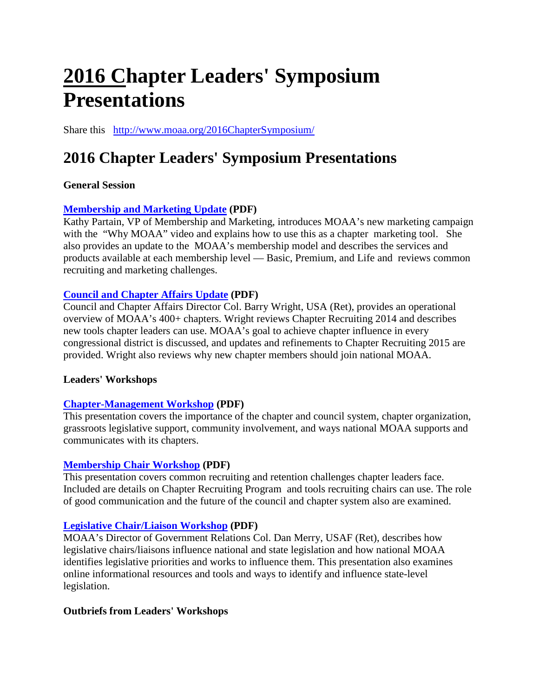# **2016 Chapter Leaders' Symposium Presentations**

Share this <http://www.moaa.org/2016ChapterSymposium/>

## **2016 Chapter Leaders' Symposium Presentations**

#### **General Session**

#### **[Membership and Marketing Update](http://www.moaa.org/uploadedFiles/Content/Chapters_and_Councils/Signature_Events/Membership_PARTAIN_Web.pdf) (PDF)**

Kathy Partain, VP of Membership and Marketing, introduces MOAA's new marketing campaign with the "Why MOAA" video and explains how to use this as a chapter marketing tool. She also provides an update to the MOAA's membership model and describes the services and products available at each membership level — Basic, Premium, and Life and reviews common recruiting and marketing challenges.

#### **[Council and Chapter Affairs Update](http://www.moaa.org/uploadedFiles/Content/Chapters_and_Councils/Signature_Events/CC2016GeneralSession.pdf) (PDF)**

Council and Chapter Affairs Director Col. Barry Wright, USA (Ret), provides an operational overview of MOAA's 400+ chapters. Wright reviews Chapter Recruiting 2014 and describes new tools chapter leaders can use. MOAA's goal to achieve chapter influence in every congressional district is discussed, and updates and refinements to Chapter Recruiting 2015 are provided. Wright also reviews why new chapter members should join national MOAA.

#### **Leaders' Workshops**

#### **[Chapter-Management Workshop](http://www.moaa.org/uploadedFiles/Content/Chapters_and_Councils/Signature_Events/2016ChapterManagementWorkshop.pdf) (PDF)**

This presentation covers the importance of the chapter and council system, chapter organization, grassroots legislative support, community involvement, and ways national MOAA supports and communicates with its chapters.

#### **[Membership Chair Workshop](http://www.moaa.org/uploadedFiles/Content/Chapters_and_Councils/Signature_Events/2016MembershipChairWorkshop.pdf) (PDF)**

This presentation covers common recruiting and retention challenges chapter leaders face. Included are details on Chapter Recruiting Program and tools recruiting chairs can use. The role of good communication and the future of the council and chapter system also are examined.

#### **[Legislative Chair/Liaison Workshop](http://www.moaa.org/uploadedFiles/Content/Chapters_and_Councils/Signature_Events/2016ChairLiasionWorkshop.pdf) (PDF)**

MOAA's Director of Government Relations Col. Dan Merry, USAF (Ret), describes how legislative chairs/liaisons influence national and state legislation and how national MOAA identifies legislative priorities and works to influence them. This presentation also examines online informational resources and tools and ways to identify and influence state-level legislation.

#### **Outbriefs from Leaders' Workshops**